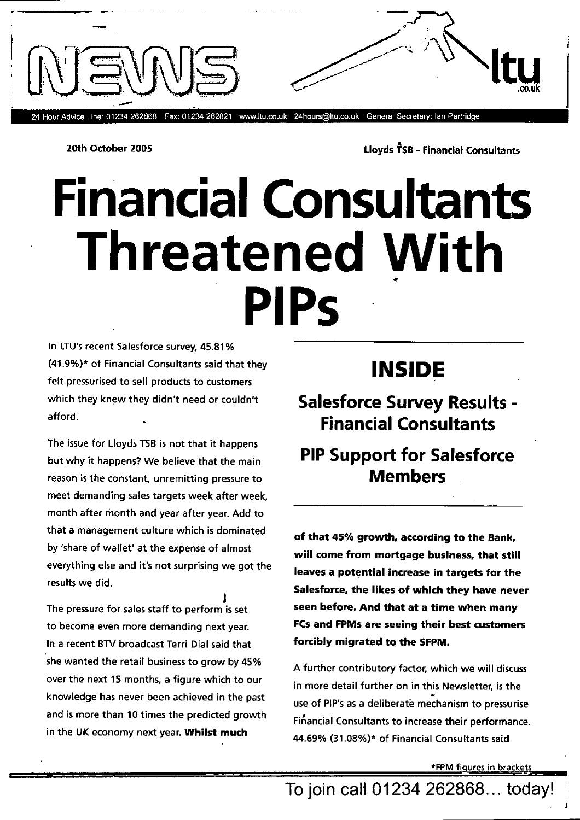

24 Hour Advice Line: 01234 262868 Fax: 01234 262821 www.ltu.co.uk 24hours@ltu.co.uk General Secretary: Ian Partridge

20th October 2005 **Let us a set of the Consultants** Lloyds  $\hat{T}SB$  - Financial Consultants

# **Financial Consultants Threatened With Pips**

In LTU's recent Salesforce survey, 45.81% (41.9%)\* of Financial Consultants said that they felt pressurised to sell products to customers which they knew they didn't need or couldn't afford.

The issue for Lloyds TSB is not that it happens but why it happens? We believe that the main reason is the constant, unremitting pressure to meet demanding sales targets week after week, month after month and year after year. Add to that a management culture which is dominated by 'share of wallet' at the expense of almost everything else and it's not surprising we got the results we did.

The pressure for sales staff to perform is set to become even more demanding next year. In a recent BTV broadcast Terri Dial said that she wanted the retail business to grow by 45% over the next 15 months, a figure which to our knowledge has never been achieved in the past and is more than 10 times the predicted growth in the UK economy next year. **Whilst much** 

### **INSIDE**

**Salesforce Survey Results - Financial Consultants** 

### **PIP Support for Salesforce Members**

**of that 45% growth, according to the Bank, will come from mortgage business, that still**  leaves a potential increase in targets for the **Salesforce, the likes of which they have never seen before. And that at a time when many FCs and FPMs are seeing their best customers forcibly migrated to the SFPM.** 

A further contributory factor, which we will discuss in more detail further on in this Newsletter, is the use of PIP's as a deliberate mechanism to pressurise Financial Consultants to increase their performance. 44.69% (31.08%)\* of Financial Consultants said

\*FPM figures in brackets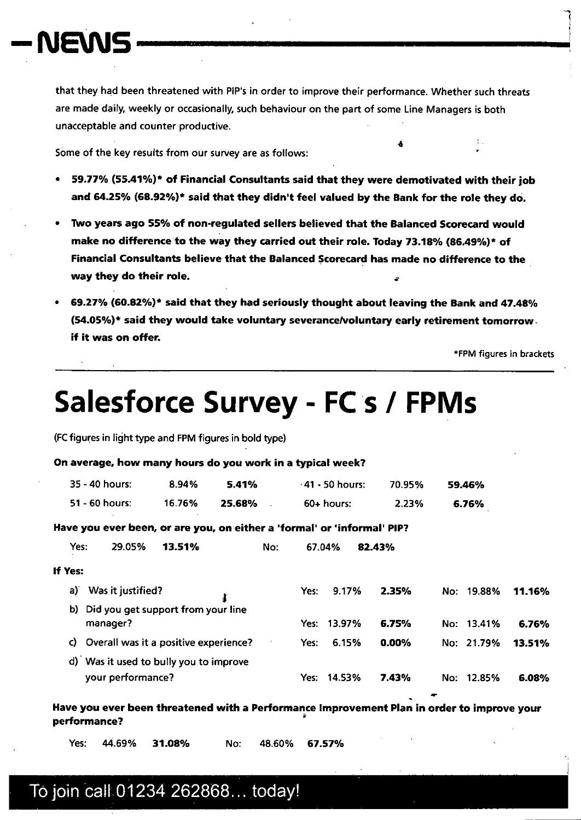# **-1%iENS**

that they had been threatened with PIP's in order to improve their performance. Whether such threats are made daily, weekly or occasionally, such behaviour on the part of some Line Managers is both unacceptable and counter productive.

Some of the key results from our survey are as follows:

- 59.71% (55.41%)\* of Financial Consultants said that they were demotivated with their job and 64.25% (68.92%)\* said that they didn't feel valued by the Bank for the role they do.
- Two years ago 55% of non-regulated sellers believed that the Balanced Scorecard would make no difference to the way they carried out their role. Today 73.18% (86.49%)\* of Financial Consultants believe that the Balanced Scorecard has made no difference to the way they do their role.
- 69.27% (60.82%)\* said that they had seriously thought about leaving the Bank and 47.48% (54.05%)\* said they would take voluntary severance/voluntary early retirement tomorrow if it was on offer.

\*FPM figures in brackets

 $\ddot{\bullet}$  -  $\ddot{\bullet}$  -  $\ddot{\bullet}$ 

# **Salesforce Survey - FC s / FPMs**

(FC figures in light type and FPM figures in bold type)

#### On average, how many hours do you work in a typical week?

| 35 - 40 hours: . | 8.94%  | 5.41%  | - 41 - 50 hours: | 70.95% | 59.46% |
|------------------|--------|--------|------------------|--------|--------|
| 51 - 60 hours:   | 16.76% | 25.68% | 60+ hours:       | 2.23%  | 6.76%  |

Have you ever been, or are you, on either a 'formal' or 'informal' PIP?

Yes: 29.05% **13.51%** No: 67.04% **82.43%** 

| If Yes: |  |
|---------|--|
|         |  |

| a) | Was it justified?<br>å.                  | Yes: | 9.17%       | 2.35%    | No: 19.88% | 11.16% |
|----|------------------------------------------|------|-------------|----------|------------|--------|
|    | b) Did you get support from your line    |      |             |          |            |        |
|    | manager?                                 |      | Yes: 13.97% | 6.75%    | No: 13.41% | 6.76%  |
|    | c) Overall was it a positive experience? | Yes: | 6.15%       | $0.00\%$ | No: 21.79% | 13.51% |
|    | d) Was it used to bully you to improve   |      |             |          |            |        |
|    | your performance?                        |      | Yes: 14.53% | 7.43%    | No: 12.85% | 6.08%  |

Have you ever been threatened with a Performance Improvement Plan in order to improve your performance?

Yes: 44.69% **31.08%** No: 48.60% **67.57%**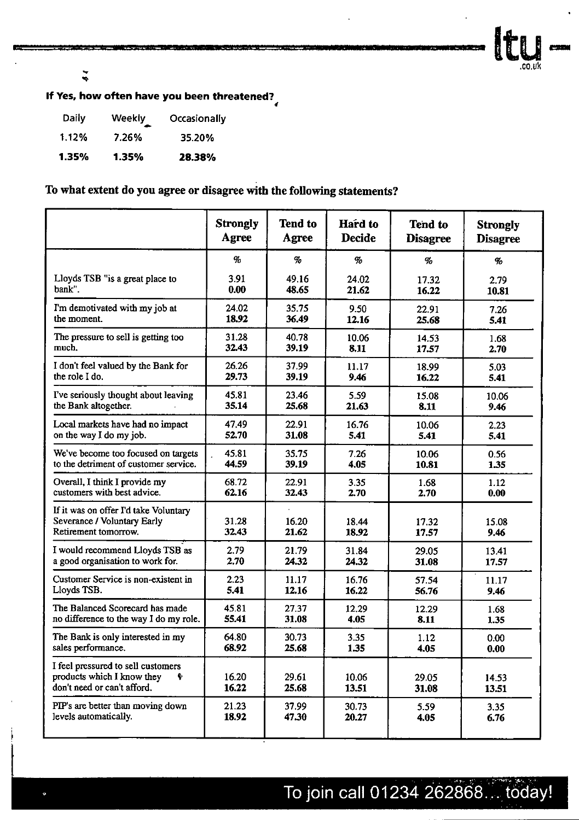Ity.

 $\tilde{\mathbf{z}}$ 

### If Yes, how often have you been threatened?

| Daily | Weekly | Occasionally |
|-------|--------|--------------|
| 1.12% | 7.26%  | 35.20%       |
| 1.35% | 1.35%  | 28.38%       |

#### To what extent do you agree or disagree with the following statements?

|                                                                                                      | <b>Strongly</b> | <b>Tend to</b> | Hard to         | <b>Tend to</b>  | <b>Strongly</b> |
|------------------------------------------------------------------------------------------------------|-----------------|----------------|-----------------|-----------------|-----------------|
|                                                                                                      | Agree           | Agree          | <b>Decide</b>   | <b>Disagree</b> | <b>Disagree</b> |
|                                                                                                      | $\%$            | $\%$           | $\mathcal{G}_0$ | $\%$            | $\%$            |
| Lloyds TSB "is a great place to                                                                      | 3.91            | 49.16          | 24.02           | 17.32           | 2.79            |
| bank".                                                                                               | 0.00            | 48.65          | 21.62           | 16.22           | 10.81           |
| I'm demotivated with my job at                                                                       | 24.02           | 35.75          | 9.50            | 22.91           | 7.26            |
| the moment.                                                                                          | 18.92           | 36.49          | 12.16           | 25.68           | 5.41            |
| The pressure to sell is getting too                                                                  | 31.28           | 40.78          | 10.06           | 14.53           | 1.68            |
| much.                                                                                                | 32.43           | 39.19          | 8.11            | 17.57           | 2.70            |
| I don't feel valued by the Bank for                                                                  | 26.26           | 37.99          | 11.17           | 18.99           | 5.03            |
| the role I do.                                                                                       | 29.73           | 39.19          | 9.46            | 16.22           | 5.41            |
| I've seriously thought about leaving                                                                 | 45.81           | 23.46          | 5.59            | 15.08           | 10.06           |
| the Bank altogether.                                                                                 | 35.14           | 25.68          | 21.63           | 8.11            | 9.46            |
| Local markets have had no impact                                                                     | 47.49           | 22.91          | 16.76           | 10.06           | 2.23            |
| on the way I do my job.                                                                              | 52.70           | 31.08          | 5.41            | 5.41            | 5.41            |
| We've become too focused on targets                                                                  | 45.81           | 35.75          | 7.26            | 10.06           | 0.56            |
| to the detriment of customer service.                                                                | 44.59           | 39.19          | 4.05            | 10.81           | 1.35            |
| Overall, I think I provide my                                                                        | 68.72           | 22.91          | 3.35            | 1.68            | 1.12            |
| customers with best advice.                                                                          | 62.16           | 32.43          | 2.70            | 2.70            | 0.00            |
| If it was on offer I'd take Voluntary<br>Severance / Voluntary Early<br>Retirement tomorrow.         | 31.28<br>32.43  | 16.20<br>21.62 | 18.44<br>18.92  | 17.32<br>17.57  | 15.08<br>9.46   |
| I would recommend Lloyds TSB as                                                                      | 2.79            | 21.79          | 31.84           | 29.05           | 13.41           |
| a good organisation to work for.                                                                     | 2.70            | 24.32          | 24.32           | 31.08           | 17.57           |
| Customer Service is non-existent in                                                                  | 2.23            | 11.17          | 16.76           | 57.54           | 11.17           |
| Lloyds TSB.                                                                                          | 5.41            | 12.16          | 16.22           | 56.76           | 9.46            |
| The Balanced Scorecard has made                                                                      | 45.81           | 27.37          | 12.29           | 12.29           | 1.68            |
| no difference to the way I do my role.                                                               | 55.41           | 31.08          | 4.05            | 8.11            | 1.35            |
| The Bank is only interested in my                                                                    | 64.80           | 30.73          | 3.35            | 1.12            | 0.00            |
| sales performance.                                                                                   | 68.92           | 25.68          | 1.35            | 4.05            | 0.00            |
| I feel pressured to sell customers<br>products which I know they<br>Ŷ<br>don't need or can't afford. | 16.20<br>16.22  | 29.61<br>25.68 | 10.06<br>13.51  | 29.05<br>31.08  | 14.53<br>13.51  |
| PIP's are better than moving down                                                                    | 21.23           | 37.99          | 30.73           | 5.59            | 3.35            |
| levels automatically.                                                                                | 18.92           | 47.30          | 20.27           | 4.05            | 6.76            |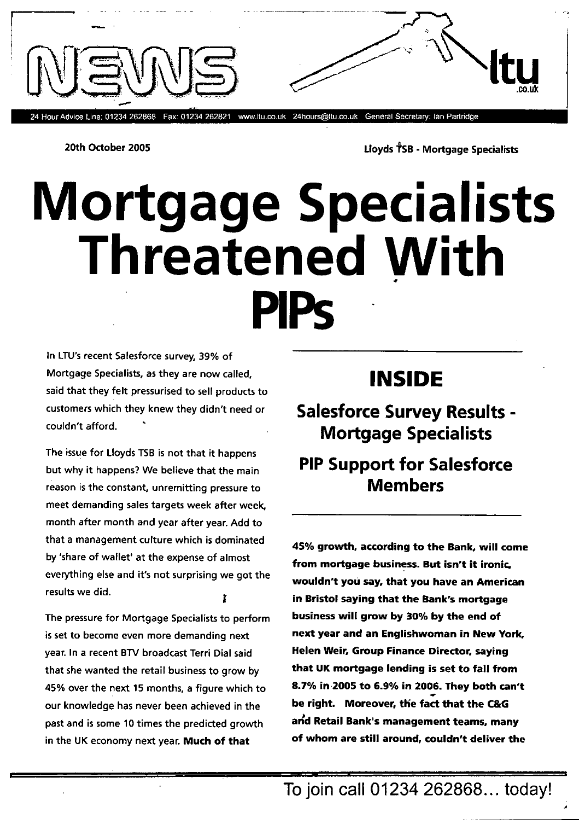24 Hour Advice Line: 01234 262868 Fax: 01234 262821 www.ltu.co.uk 24hours@ltu.co.uk General Secretary: Ian Partridge

20th October 2005 **Let up to Contract Contract Contract Contract Contract Contract Contract Contract Contract Contract Contract Contract Contract Contract Contract Contract Contract Contract Contract Contract Contract Cont** 

**Itu** 

# **Mortgage Specialists Threatened With PIPS**

In LTU's recent Salesforce survey, 39% of Mortgage Specialists, as they are now called, said that they felt pressurised to sell products to customers which they knew they didn't need or couldn't afford.

The issue for Lloyds TSB is not that it happens but why it happens? We believe that the main reason is the constant, unremitting pressure to meet demanding sales targets week after week, month after month and year after year. Add to that a management culture which is dominated by 'share of wallet' at the expense of almost everything else and it's not surprising we got the results we did.

The pressure for Mortgage Specialists to perform is set to become even more demanding next year. In a recent BTV broadcast Terri Dial said that she wanted the retail business to grow by 45% over the next 15 months, a figure which to our knowledge has never been achieved in the past and is some 10 times the predicted growth in the UK economy next year. **Much of that** 

## **INSIDE**

**Salesforce Survey Results - Mortgage Specialists** 

## **PIP Support for Salesforce Members**

**45% growth, according to the Bank, will come from mortgage business. But isn't it ironic,**  wouldn't **you say, that you have an American in Bristol saying that the Bank's mortgage business will grow by 30% by the end of next year and an Englishwoman in New York. Helen Weir, Group Finance Director, saying that UK mortgage lending is set to fall from 8.7% in 2005 to 6.9% in 2006. They both can't be right. Moreover, the fact that the C&G arfd Retail Bank's management teams, many of whom are still around, couldn't deliver the**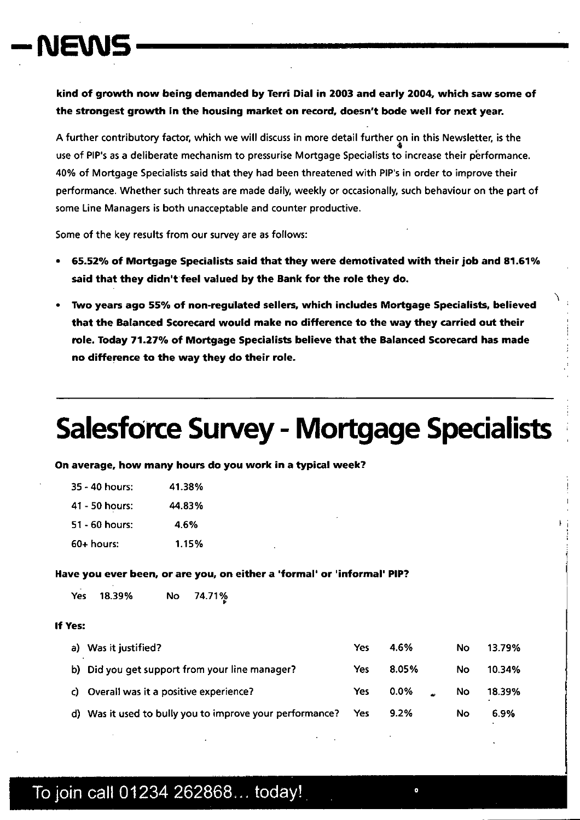# NEMS

kind of growth now being demanded by Terri Dial in 2003 and early 2004, which saw some of the strongest growth in the housing market on record, doesn't bode well for next year.

A further contributory factor, which we will discuss in more detail further on in this Newsletter, is the  $\Phi$ use of PIP's as a deliberate mechanism to pressurise Mortgage Specialists to increase their p'erformance. 40% of Mortgage Specialists said that they had been threatened with PIP's in order to improve their performance. Whether such threats are made daily, weekly or occasionally, such behaviour on the part of some Line Managers is both unacceptable and counter productive.

Some of the key results from our survey are as follows:

- 65.52% of Mortgage Specialists said that they were demotivated with their job and 81.61% said that they didn't feel valued by the Bank for the role they do.
- IWo years ago 55% of non-regulated sellers, which includes Mortgage Specialists, believed that the Balanced Scorecard would make no difference to the way they carried out their role. Today 71.27% of Mortgage Specialists believe that the Balanced Scorecard has made no difference to the way they do their role.

# Salesforce Survey - Mortgage Specialists

On average, how many hours do you work in a typical week?

| 35 - 40 hours: | 41.38% |
|----------------|--------|
| 41 - 50 hours: | 44.83% |
| 51 - 60 hours: | 4.6%   |
| 60+ hours:     | 1.15%  |

#### Have you ever been, or are you, on either a 'formal' or 'informal' PIP?

| No 74.71%<br>Yes 18.39% |  |
|-------------------------|--|
|-------------------------|--|

#### If Yes:

|    | a) Was it justified?                                     | Yes | 4.6%    | No  | 13.79% |
|----|----------------------------------------------------------|-----|---------|-----|--------|
|    | b) Did you get support from your line manager?           | Yes | 8.05%   | No. | 10.34% |
| C) | Overall was it a positive experience?                    | Yes | 0.0%    | No  | 18.39% |
|    | d) Was it used to bully you to improve your performance? | Yes | $9.2\%$ | No  | 6.9%   |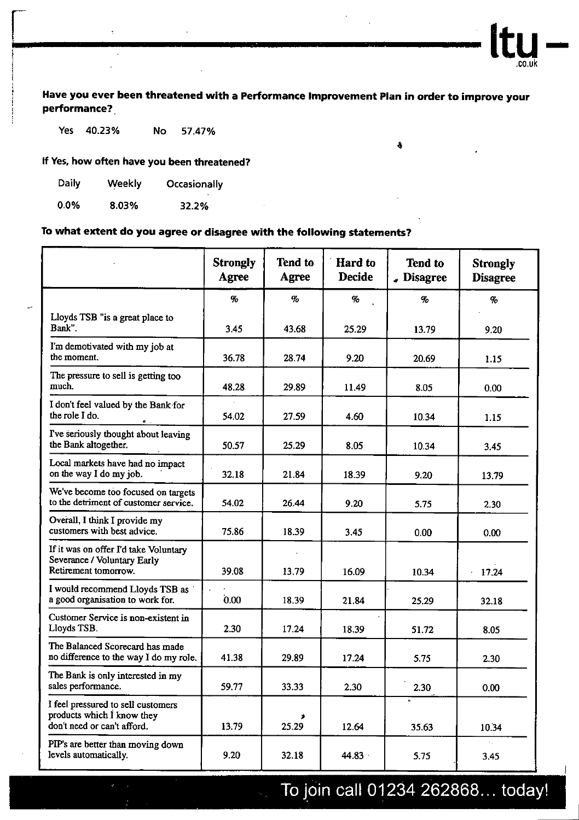**Have you ever been threatened with a Performance Improvement Plan in order to improve your performance?** 

â

**Itu .co.uk** 

**Yes 40.23% No 57.47%** 

**If Yes, how often have you been threatened?** 

| Daily   | Weekly | Occasionally |
|---------|--------|--------------|
|         |        |              |
| $0.0\%$ | 8.03%  | 32.2%        |

#### **To what extent do you agree or disagree with the following statements?**

|                                                                                                 | <b>Strongly</b><br>Agree | <b>Tend to</b><br>Agree | Hard to<br><b>Decide</b> | <b>Tend to</b><br>$\epsilon$ Disagree | <b>Strongly</b><br><b>Disagree</b> |
|-------------------------------------------------------------------------------------------------|--------------------------|-------------------------|--------------------------|---------------------------------------|------------------------------------|
|                                                                                                 | $\%$                     | $\sigma$                | $\%$                     | $\%$                                  | $\%$                               |
| Lloyds TSB "is a great place to<br>Bank".                                                       | 3.45                     | 43.68                   | 25.29                    | 13.79                                 | 9.20                               |
| I'm demotivated with my job at<br>the moment.                                                   | 36.78                    | 28.74                   | 9.20                     | 20.69                                 | 1.15                               |
| The pressure to sell is getting too<br>much.                                                    | 48.28                    | 29.89                   | 11.49                    | 8.05                                  | 0.00                               |
| I don't feel valued by the Bank for<br>the role I do.                                           | 54.02                    | 27.59                   | 4.60                     | 10.34                                 | 1.15                               |
| I've seriously thought about leaving<br>the Bank altogether.                                    | 50.57                    | 25.29                   | 8.05                     | 10.34                                 | 3.45                               |
| Local markets have had no impact<br>on the way I do my job.                                     | 32.18                    | 21.84                   | 18.39                    | 9.20                                  | 13.79                              |
| We've become too focused on targets<br>to the detriment of customer service.                    | 54.02                    | 26.44                   | 9.20                     | 5.75                                  | 2.30                               |
| Overall, I think I provide my<br>customers with best advice.                                    | 75.86                    | 18.39                   | 3.45                     | 0.00                                  | 0.00                               |
| If it was on offer I'd take Voluntary<br>Severance / Voluntary Early<br>Retirement tomorrow.    | 39.08                    | 13.79                   | 16.09                    | 10.34                                 | 17.24                              |
| I would recommend Lloyds TSB as<br>a good organisation to work for.                             | 0.00                     | 18.39                   | 21.84                    | 25.29                                 | 32.18                              |
| Customer Service is non-existent in<br>Lloyds TSB.                                              | 2.30                     | 17.24                   | 18.39                    | 51.72                                 | 8.05                               |
| The Balanced Scorecard has made<br>no difference to the way I do my role.                       | 41.38                    | 29.89                   | 17.24                    | 5.75                                  | 2.30                               |
| The Bank is only interested in my<br>sales performance.                                         | 59.77                    | 33.33                   | 2.30                     | 2.30                                  | 0.00                               |
| I feel pressured to sell customers<br>products which I know they<br>don't need or can't afford. | 13.79                    | ٠<br>25.29              | 12.64                    | $\bullet$<br>35.63                    | 10.34                              |
| PIP's are better than moving down<br>levels automatically.                                      | 9.20                     | 32.18                   | 44.83                    | 5.75                                  | 3.45                               |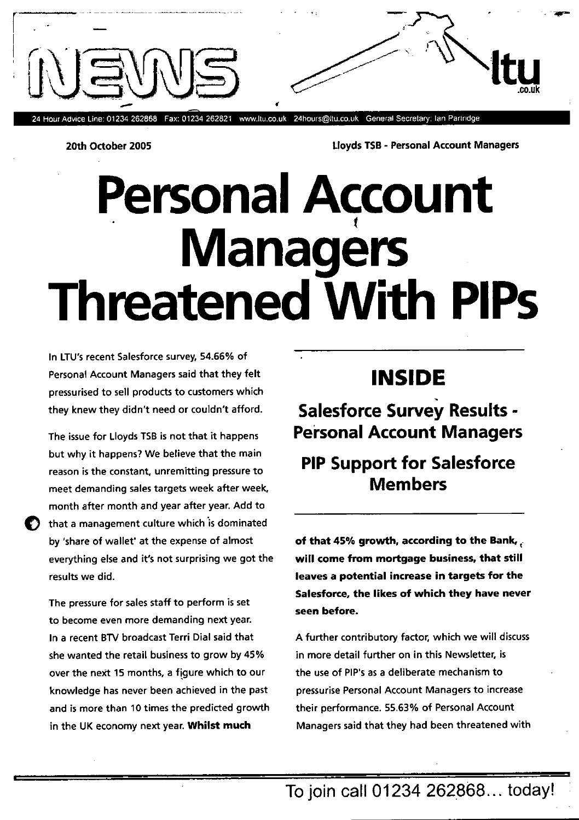

24 Hour Advice Line: 01234 262868 Fax: 01234 262821 www.ltu.co.uk 24hours@ltu.co.uk General Secretary: Ian Partridge

20th October 2005 Iioyds TSB - Personal Account Managers

# **Personal Account Managers Threatened With PIPs**

In LTU's recent Salesforce survey, 54.66% of Personal Account Managers said that they felt pressurised to sell products to customers which they knew they didn't need or couldn't afford.

The issue for Lloyds TSB is not that it happens but why it happens? We believe that the main reason is the constant, unremitting pressure to meet demanding sales targets week after week, month after month and year after year. Add to that a management culture which is dominated by 'share of wallet' at the expense of almost everything else and it's not surprising we got the results we did.

The pressure for sales staff to perform is set to become even more demanding next year. In a recent BTV broadcast Terri Dial said that she wanted the retail business to grow by 45% over the next 15 months, a figure which to our knowledge has never been achieved in the past and is more than 10 times the predicted growth in the UK economy next year. **Whilst much** 

# **INSIDE**

**Salesforce Survey Results - Personal Account Managers** 

### **PIP Support for Salesforce Members**

of that 45% growth, according to the Bank,  $\epsilon$ **will come from mortgage business, that 5till leaves a potential increase in targets for the Salesforce, the likes of which they have never seen before.** 

A further contributory factor, which we will discuss in more detail further on in this Newsletter, is the use of PIP's as a deliberate mechanism to pressurise Personal Account Managers to increase their performance. 55.63% of Personal Account Managers said that they had been threatened with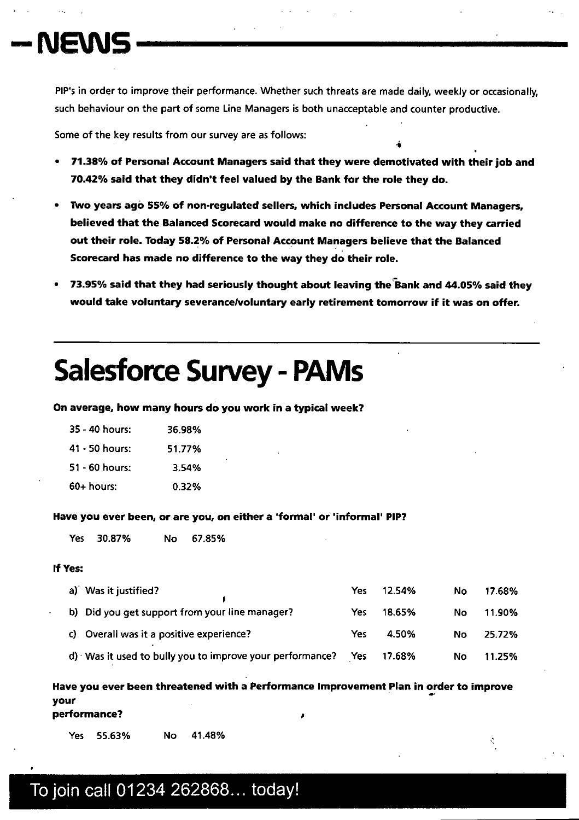# **—NBNS**

PIP's in order to improve their performance. Whether such threats are made daily, weekly or occasionally, such behaviour on the part of some Line Managers is both unacceptable and counter productive.

Some of the key results from our survey are as follows:

71 .38% of Personal Account Managers said that they were demotivated with their job and 70.42% said that they didn't feel valued by the Bank for the role they do.

4

- IWo years agà 55% of non-regulated sellers, which includes Personal Account Managers, believed that the Balanced Scorecard would make no difference to the way they carried out their role. Today 58.2% of Personal Account Managers believe that the Balanced Scorecard has made no difference to the way they do their role.
- 73.95% said that they had seriously thought about leaving the Bank and 44.05% said they would take voluntary severance/voluntary early retirement tomorrow if it was on offer.

# **Salesforce Survey - PAMs**

On average, how many hours do you work in a typical week?

| 35 - 40 hours: | 36.98% |
|----------------|--------|
| 41 - 50 hours: | 51.77% |
| 51 - 60 hours: | 3.54%  |
| 60+ hours:     | 0.32%  |

Have you ever been, or are you, on either a 'formal' or 'informal' PIP?

Yes 30.87% No 67.85%

#### If Yes:

r

| a) Was it justified?                                        | Yes | 12.54% | No        | 17.68% |
|-------------------------------------------------------------|-----|--------|-----------|--------|
| b) Did you get support from your line manager?              | Yes | 18.65% | No        | 11.90% |
| c) Overall was it a positive experience?                    | Yes | 4.50%  | <b>No</b> | 25.72% |
| $d$ ) Was it used to bully you to improve your performance? | Yes | 17.68% | No        | 11.25% |

Have you ever been threatened with a Performance Improvement Plan in order to improve your performance?

Yes 55.63% No 41 .48%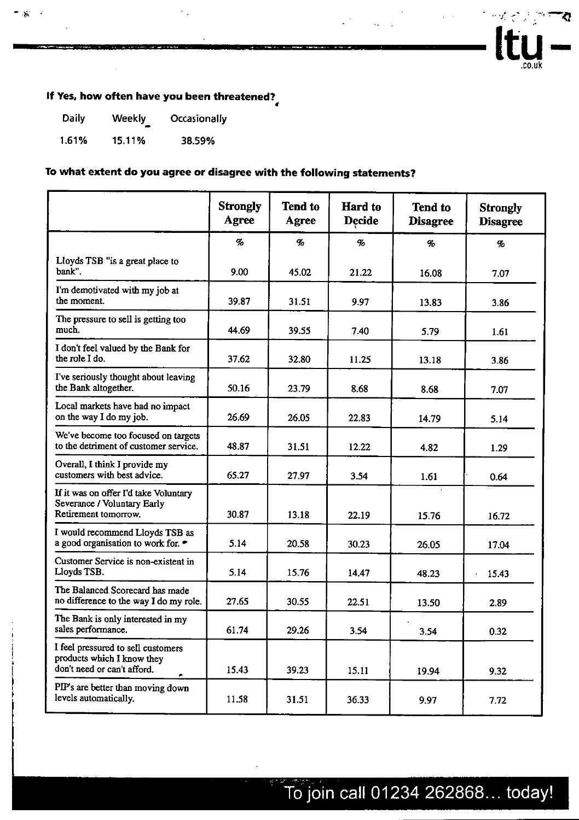

### **If Yes, how often have you been threatened?**

| Daily | <b>Weekly</b> | Occasionally |
|-------|---------------|--------------|
| 1.61% | 15.11%        | 38.59%       |

- 18

#### **To what extent do you agree or disagree with the following statements?**

|                                                                                                 | <b>Strongly</b><br>Agree | <b>Tend to</b><br>Agree | <b>Hard</b> to<br><b>Decide</b> | <b>Tend to</b><br><b>Disagree</b> | <b>Strongly</b><br><b>Disagree</b> |
|-------------------------------------------------------------------------------------------------|--------------------------|-------------------------|---------------------------------|-----------------------------------|------------------------------------|
|                                                                                                 | %                        | %                       | $\mathcal{G}_0$                 | $\%$                              | $\mathcal{G}_0$                    |
| Lloyds TSB "is a great place to<br>bank".                                                       | 9.00                     | 45.02                   | 21.22                           | 16.08                             | 7.07                               |
| I'm demotivated with my job at<br>the moment.                                                   | 39.87                    | 31.51                   | 9.97                            | 13.83                             | 3.86                               |
| The pressure to sell is getting too<br>much.                                                    | 44.69                    | 39.55                   | 7.40                            | 5.79                              | 1.61                               |
| I don't feel valued by the Bank for<br>the role I do.                                           | 37.62                    | 32.80                   | 11.25                           | 13.18                             | 3.86                               |
| I've seriously thought about leaving<br>the Bank altogether.                                    | 50.16                    | 23.79                   | 8.68                            | 8.68                              | 7.07                               |
| Local markets have had no impact<br>on the way I do my job.                                     | 26.69                    | 26.05                   | 22.83                           | 14.79                             | 5.14                               |
| We've become too focused on targets<br>to the detriment of customer service.                    | 48.87                    | 31.51                   | 12.22                           | 4.82                              | 1.29                               |
| Overall, I think I provide my<br>customers with best advice.                                    | 65.27                    | 27.97                   | 3.54                            | 1.61                              | 0.64                               |
| If it was on offer I'd take Voluntary<br>Severance / Voluntary Early<br>Retirement tomorrow.    | 30.87                    | 13.18                   | 22.19                           | 15.76                             | 16.72                              |
| I would recommend Lloyds TSB as<br>a good organisation to work for. •                           | 5.14                     | 20.58                   | 30.23                           | 26.05                             | 17.04                              |
| Customer Service is non-existent in<br>Lloyds TSB.                                              | 5.14                     | 15.76                   | 14.47                           | 48.23                             | 15.43                              |
| The Balanced Scorecard has made<br>no difference to the way I do my role.                       | 27.65                    | 30.55                   | 22.51                           | 13.50                             | 2.89                               |
| The Bank is only interested in my<br>sales performance.                                         | 61.74                    | 29.26                   | 3.54                            | 3.54                              | 0.32                               |
| I feel pressured to sell customers<br>products which I know they<br>don't need or can't afford. | 15.43                    | 39.23                   | 15.11                           | 19.94                             | 9.32                               |
| PIP's are better than moving down<br>levels automatically.                                      | 11.58                    | 31.51                   | 36.33                           | 9.97                              | 7.72                               |

.<br>No afirma de conceptual de la final de la final de la final de la final de la final de la final de la final de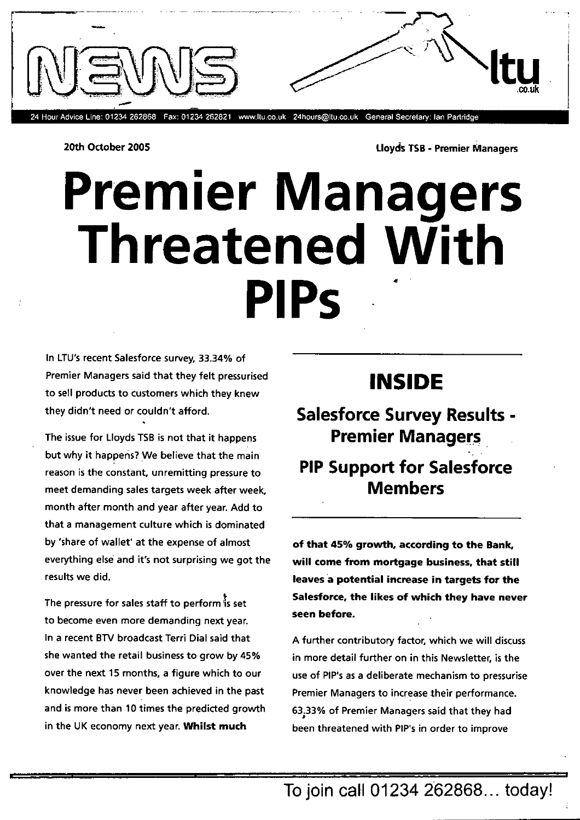

20th October 2005 **and Struck Towns and Struck TSB - Premier Managers** 

# **Premier Managers** Threatened With **PIPs**

In LTU's recent Salesforce survey. 33.34% of Premier Managers said that they felt pressurised to sell products to customers which they knew they didn't need or couldn't afford.

The issue for Lloyds TSB is not that it happens but why it happens? We believe that the main reason is the constant, unremitting pressure to meet demanding sales targets week after week, month after month and year after year. Add to that a management culture which is dominated by 'share of wallet' at the expense of almost everything else and it's not surprising we got the results we did.

The pressure for sales staff to perform is set to become even more demanding next year. In a recent BTV broadcast Terri Dial said that she wanted the retail business to grow by 45% over the next 15 months, a figure which to our knowledge has never been achieved in the past and is more than 10 times the predicted growth in the UK economy next year. Whilst much

## **INSIDE**

### Salesforce Survey Results - Premier Managers

### PIP Support for Salesforce Members

of that 45% growth, according to the Bank, will come from mortgage business, that still leaves a potential increase in targets for the Salesforce, the likes of which they have never seen before.

A further contributory factor, which we will discuss in more detail further on in this Newsletter, is the use of PIP's as a deliberate mechanism to pressurise Premier Managers to increase their performance. 63.33% of Premier Managers said that they had been threatened with PIP's in order to improve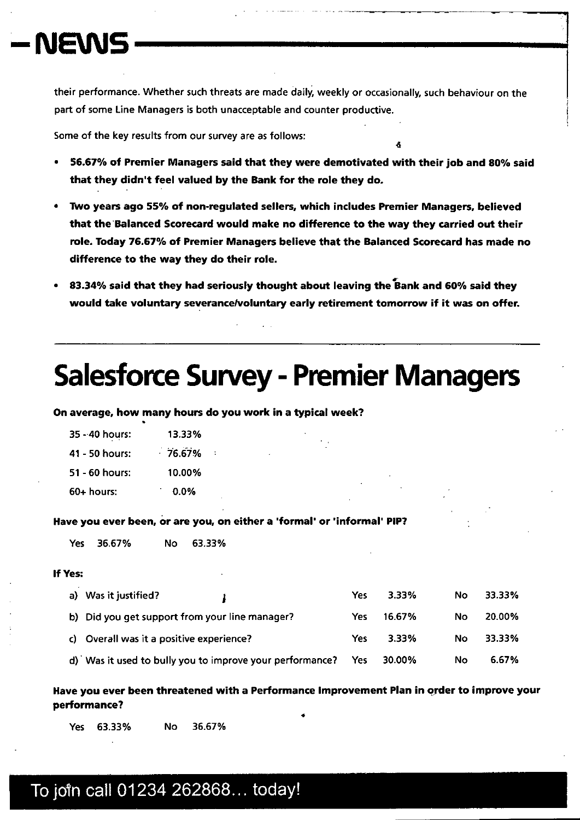# **—NEWS**

their performance. Whether such threats are made daily, weekly or occasionally, such behaviour on the part of some Line Managers is both unacceptable and counter productive.

Some of the key results from our survey are as follows:

56.67% of Premier Managers said that they were demotivated with their job and 80% said that they didn't feel valued by the Bank for the role they do.

A

- iWo years ago 55% of non-regulated sellers, which includes Premier Managers, believed that the Balanced Scorecard would make no difference to the way they carried out their role. Today 76.67% of Premier Managers believe that the Balanced Scorecard has made no difference to the way they do their role.
- 83.34% said that they had seriously thought about leaving the Bank and 60% said they would take voluntary severance/voluntary early retirement tomorrow if it was on offer.

# **Salesforce Survey - Premier Managers**

On average, how many hours do you work in a typical week? \*

| 35 - 40 hours: | 13.33%    |
|----------------|-----------|
| 41 - 50 hours: | $-76.67%$ |
| 51 - 60 hours: | 10.00%    |
| $60+$ hours:   | 0.0%      |

Have you ever been, or are you, on either a 'formal' or 'informal' PIP?

Yes 36.67% No 63.33%

#### If Yes:

| Yes: |                                                          |            |        |    |        |
|------|----------------------------------------------------------|------------|--------|----|--------|
|      | a) Was it justified?                                     | Yes        | 3.33%  | No | 33.33% |
|      | b) Did you get support from your line manager?           | Yes        | 16.67% | No | 20.00% |
|      | c) Overall was it a positive experience?                 | Yes        | 3.33%  | No | 33.33% |
|      | d) Was it used to bully you to improve your performance? | <b>Yes</b> | 30.00% | No | 6.67%  |

Have you ever been threatened with a Performance Improvement Plan in order to improve your performance?

4

Yes 63.33% No 36.67%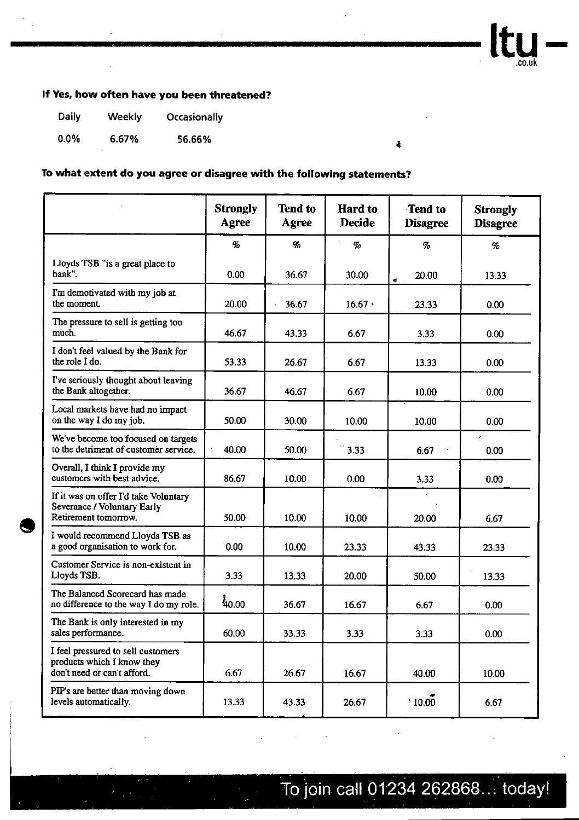

#### **If Yes, how often have you been threatened?**

| <b>Daily</b> | <b>Weekly</b> | Occasionally |
|--------------|---------------|--------------|
| $0.0\%$      | 6.67%         | 56.66%       |

e |

#### **To what extent do you agree or disagree with the following statements?**

|                                                                                                 | <b>Strongly</b><br>Agree | <b>Tend to</b><br>Agree | <b>Hard</b> to<br><b>Decide</b> | <b>Tend to</b><br><b>Disagree</b> | <b>Strongly</b><br><b>Disagree</b> |
|-------------------------------------------------------------------------------------------------|--------------------------|-------------------------|---------------------------------|-----------------------------------|------------------------------------|
|                                                                                                 | $\emph{q}_\emph{o}$      | $\mathcal{G}_o$         | $\%$                            | $\mathcal{G}_o$                   | $\%$                               |
| Lloyds TSB "is a great place to<br>bank".                                                       | 0.00                     | 36.67                   | 30.00                           | 20.00<br>đ                        | 13.33                              |
| I'm demotivated with my job at<br>the moment.                                                   | 20.00                    | 36.67                   | $16.67 \cdot$                   | 23.33                             | 0.00                               |
| The pressure to sell is getting too<br>much.                                                    | 46.67                    | 43.33                   | 6.67                            | 3.33                              | 0.00                               |
| I don't feel valued by the Bank for<br>the role I do.                                           | 53.33                    | 26.67                   | 6.67                            | 13.33                             | 0.00                               |
| I've seriously thought about leaving<br>the Bank altogether.                                    | 36.67                    | 46.67                   | 6.67                            | 10.00                             | 0.00                               |
| Local markets have had no impact<br>on the way I do my job.                                     | 50.00                    | 30.00                   | 10.00                           | 10.00                             | 0.00                               |
| We've become too focused on targets<br>to the detriment of customer service.                    | 40.00                    | 50.00 <sub>1</sub>      | 3.33                            | 6.67                              | 0.00                               |
| Overall, I think I provide my<br>customers with best advice.                                    | 86.67                    | 10.00                   | 0.00                            | 3.33                              | 0.00                               |
| If it was on offer I'd take Voluntary<br>Severance / Voluntary Early<br>Retirement tomorrow.    | 50.00                    | 10.00                   | 10.00                           | 20.00                             | 6.67                               |
| I would recommend Lloyds TSB as<br>a good organisation to work for.                             | 0.00                     | 10.00                   | 23.33                           | 43.33                             | 23.33                              |
| Customer Service is non-existent in<br>Lloyds TSB.                                              | 3.33                     | 13.33                   | 20.00                           | 50.00                             | 13.33                              |
| The Balanced Scorecard has made<br>no difference to the way I do my role.                       | 40.00                    | 36.67                   | 16.67                           | 6.67                              | 0.00                               |
| The Bank is only interested in my<br>sales performance.                                         | 60.00                    | 33.33                   | 3.33                            | 3.33                              | 0.00                               |
| I feel pressured to sell customers<br>products which I know they<br>don't need or can't afford. | 6.67                     | 26.67                   | 16.67                           | 40.00                             | 10.00                              |
| PIP's are better than moving down<br>levels automatically.                                      | 13.33                    | 43.33                   | 26.67                           | .10.00                            | 6.67                               |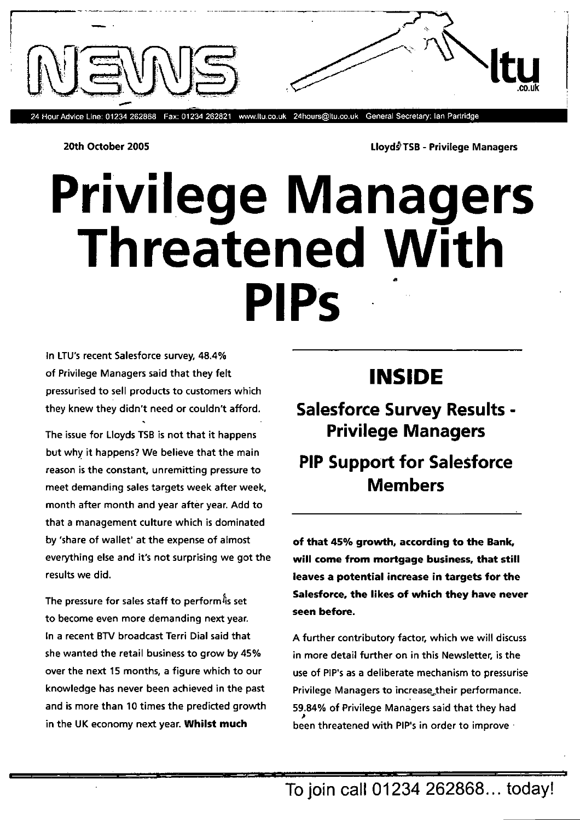

20th October 2005 **LloydflsB** - Privilege Managers

# **Privilege Managers Threatened With Pips**

In LTU's recent Salesforce survey, 48.4% of Privilege Managers said that they felt pressurised to sell products to customers which they knew they didn't need or couldn't afford.

The issue for Lloyds TSB is not that it happens but why it happens? We believe that the main reason is the constant, unremitting pressure to meet demanding sales targets week after week, month after month and year after year. Add to that a management culture which is dominated by 'share of wallet' at the expense of almost everything else and it's not surprising we got the results we did.

The pressure for sales staff to perform<sup>is</sup> set to become even more demanding next year. In a recent BTV broadcast Terri Dial said that she wanted the retail business to grow by 45% over the next 15 months, a figure which to our knowledge has never been achieved in the past and is more than 10 times the predicted growth in the UK economy next year. **Whilst much** 

## **INSIDE**

**Salesforce Survey Results - Privilege Managers** 

## **PIP Support for Salesforce Members**

**of that 45% growth, according to the Bank, will come from mortgage business, that still leaves a potential increase in targets for the Salesforce, the likes of which they have never seen before.** 

A further contributory factor, which we will discuss in more detail further on in this Newsletter, is the use of PIP's as a deliberate mechanism to pressurise Privilege Managers to increase\_their performance. 59.84% of Privilege Managers said that they had **been threatened with PIP's in order to improve**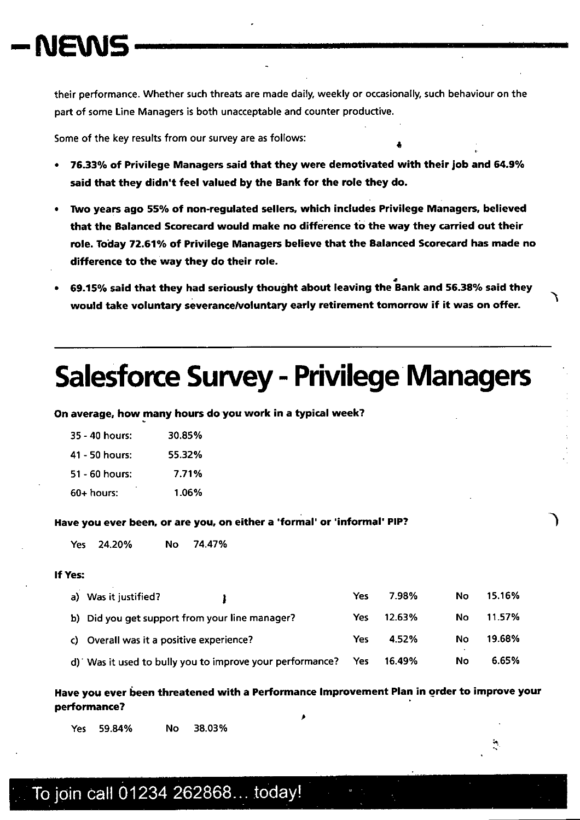their performance. Whether such threats are made daily, weekly or occasionally, such behaviour on the part of some Line Managers is both unacceptable and counter productive.

Some of the key results from our survey are as follows: 4

- 16.33% of Privilege Managers said that they were demotivated with their job and 64.9% said that they didn't feel valued by the Bank for the role they do.
- iWo years ago 55% of non-regulated sellers, which includes Privilege Managers, believed that the Balanced Scorecard would make no difference to the way they carried out their role. Today 72.61% of Privilege Managers believe that the Balanced Scorecard has made no difference to the way they do their role.
- 69.15% said that they had seriously thought about leaving the Bank and 56.38% said they would take voluntary severance/voluntary early retirement tomorrow if it was on offer.

# **Salesforce Survey — Privilege Managers**

On average, how many hours do you work in a typical week?

| ٠<br>$60+$ hours: | 1.06%  |
|-------------------|--------|
| 51 - 60 hours:    | 7.71%  |
| 41 - 50 hours:    | 55.32% |
| 35 - 40 hours:    | 30.85% |

#### Have you ever been, or are you, on either a 'formal' or 'informal' PIP?

Yes 24.20% No 74.47%

#### If Yes:

| a) Was it justified?                                     | Yes | 7.98%  | No  | 15.16% |
|----------------------------------------------------------|-----|--------|-----|--------|
| b) Did you get support from your line manager?           | Yes | 12.63% | No. | 11.57% |
| c) Overall was it a positive experience?                 | Yes | 4.52%  | No  | 19.68% |
| d) Was it used to bully you to improve your performance? | Yes | 16.49% | No  | 6.65%  |

Have you ever been threatened with a Performance Improvement Plan in order to improve your performance?

p

Yes 59.84% No 38.03%